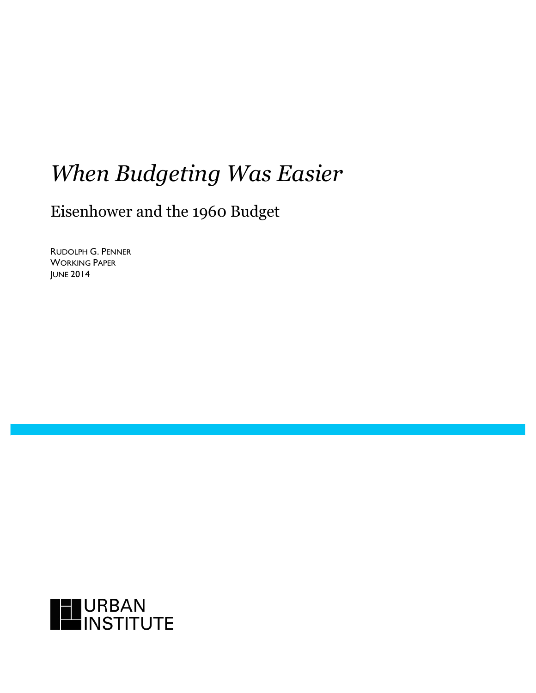# *When Budgeting Was Easier*

Eisenhower and the 1960 Budget

RUDOLPH G. PENNER WORKING PAPER JUNE 2014

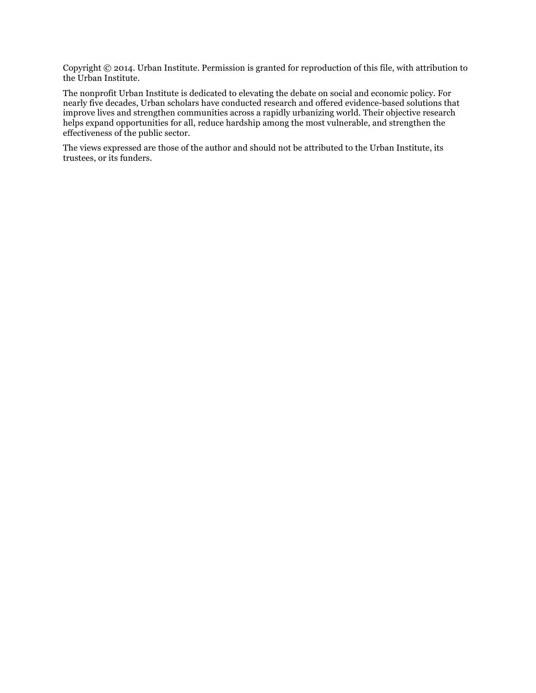Copyright © 2014. Urban Institute. Permission is granted for reproduction of this file, with attribution to the Urban Institute.

The nonprofit Urban Institute is dedicated to elevating the debate on social and economic policy. For nearly five decades, Urban scholars have conducted research and offered evidence-based solutions that improve lives and strengthen communities across a rapidly urbanizing world. Their objective research helps expand opportunities for all, reduce hardship among the most vulnerable, and strengthen the effectiveness of the public sector.

The views expressed are those of the author and should not be attributed to the Urban Institute, its trustees, or its funders.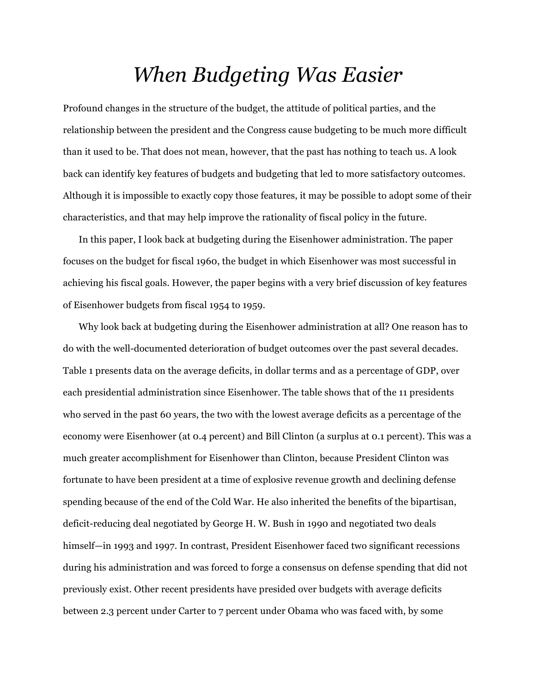## *When Budgeting Was Easier*

Profound changes in the structure of the budget, the attitude of political parties, and the relationship between the president and the Congress cause budgeting to be much more difficult than it used to be. That does not mean, however, that the past has nothing to teach us. A look back can identify key features of budgets and budgeting that led to more satisfactory outcomes. Although it is impossible to exactly copy those features, it may be possible to adopt some of their characteristics, and that may help improve the rationality of fiscal policy in the future.

In this paper, I look back at budgeting during the Eisenhower administration. The paper focuses on the budget for fiscal 1960, the budget in which Eisenhower was most successful in achieving his fiscal goals. However, the paper begins with a very brief discussion of key features of Eisenhower budgets from fiscal 1954 to 1959.

Why look back at budgeting during the Eisenhower administration at all? One reason has to do with the well-documented deterioration of budget outcomes over the past several decades. Table 1 presents data on the average deficits, in dollar terms and as a percentage of GDP, over each presidential administration since Eisenhower. The table shows that of the 11 presidents who served in the past 60 years, the two with the lowest average deficits as a percentage of the economy were Eisenhower (at 0.4 percent) and Bill Clinton (a surplus at 0.1 percent). This was a much greater accomplishment for Eisenhower than Clinton, because President Clinton was fortunate to have been president at a time of explosive revenue growth and declining defense spending because of the end of the Cold War. He also inherited the benefits of the bipartisan, deficit-reducing deal negotiated by George H. W. Bush in 1990 and negotiated two deals himself—in 1993 and 1997. In contrast, President Eisenhower faced two significant recessions during his administration and was forced to forge a consensus on defense spending that did not previously exist. Other recent presidents have presided over budgets with average deficits between 2.3 percent under Carter to 7 percent under Obama who was faced with, by some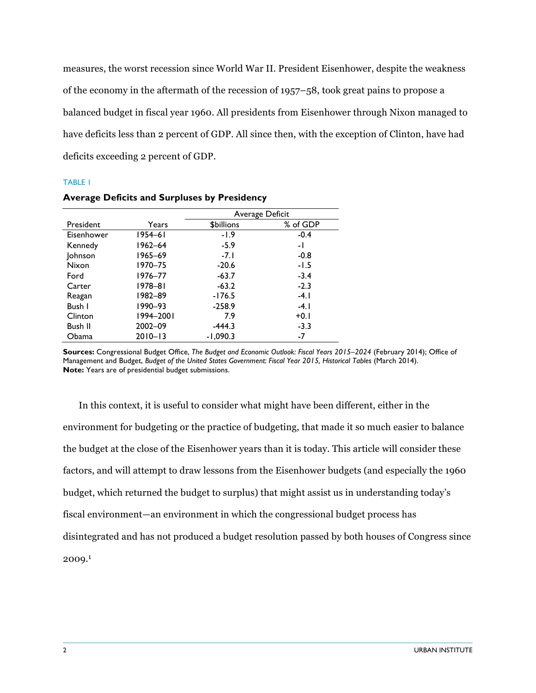measures, the worst recession since World War II. President Eisenhower, despite the weakness of the economy in the aftermath of the recession of 1957–58, took great pains to propose a balanced budget in fiscal year 1960. All presidents from Eisenhower through Nixon managed to have deficits less than 2 percent of GDP. All since then, with the exception of Clinton, have had deficits exceeding 2 percent of GDP.

#### TABLE 1

|              |             | Average Deficit |          |
|--------------|-------------|-----------------|----------|
| President    | Years       | \$billions      | % of GDP |
| Eisenhower   | 1954–61     | -1.9            | $-0.4$   |
| Kennedy      | 1962-64     | $-5.9$          | - 1      |
| Johnson      | 1965-69     | $-7.1$          | $-0.8$   |
| <b>Nixon</b> | 1970-75     | $-20.6$         | $-1.5$   |
| Ford         | 1976-77     | $-63.7$         | $-3.4$   |
| Carter       | 1978-81     | $-63.2$         | $-2.3$   |
| Reagan       | 1982-89     | $-176.5$        | $-4.1$   |
| Bush I       | 1990-93     | $-258.9$        | $-4.1$   |
| Clinton      | 1994-2001   | 7.9             | $+0.1$   |
| Bush II      | 2002-09     | $-444.3$        | $-3.3$   |
| Obama        | $2010 - 13$ | $-1,090.3$      | -7       |

**Average Deficits and Surpluses by Presidency**

**Sources:** Congressional Budget Office, *The Budget and Economic Outlook: Fiscal Years 2015–2024* (February 2014); Office of Management and Budget, *Budget of the United States Government: Fiscal Year 2015, Historical Tables* (March 2014). **Note:** Years are of presidential budget submissions.

In this context, it is useful to consider what might have been different, either in the environment for budgeting or the practice of budgeting, that made it so much easier to balance the budget at the close of the Eisenhower years than it is today. This article will consider these factors, and will attempt to draw lessons from the Eisenhower budgets (and especially the 1960 budget, which returned the budget to surplus) that might assist us in understanding today's fiscal environment—an environment in which the congressional budget process has disintegrated and has not produced a budget resolution passed by both houses of Congress since 2009. 1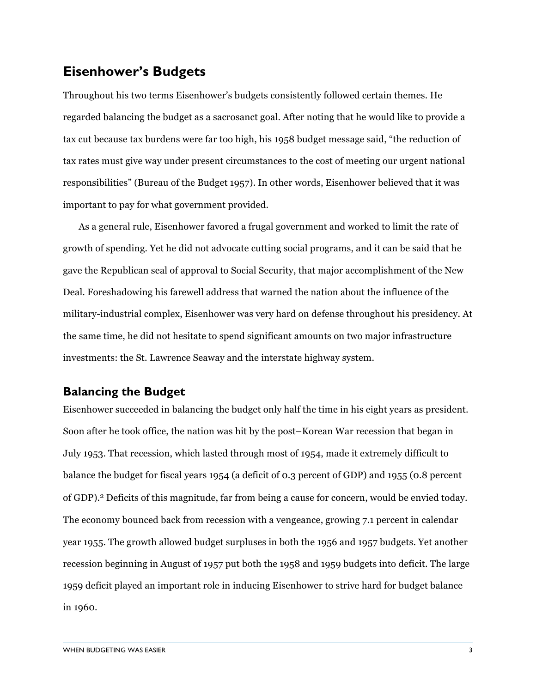## **Eisenhower's Budgets**

Throughout his two terms Eisenhower's budgets consistently followed certain themes. He regarded balancing the budget as a sacrosanct goal. After noting that he would like to provide a tax cut because tax burdens were far too high, his 1958 budget message said, "the reduction of tax rates must give way under present circumstances to the cost of meeting our urgent national responsibilities" (Bureau of the Budget 1957). In other words, Eisenhower believed that it was important to pay for what government provided.

As a general rule, Eisenhower favored a frugal government and worked to limit the rate of growth of spending. Yet he did not advocate cutting social programs, and it can be said that he gave the Republican seal of approval to Social Security, that major accomplishment of the New Deal. Foreshadowing his farewell address that warned the nation about the influence of the military-industrial complex, Eisenhower was very hard on defense throughout his presidency. At the same time, he did not hesitate to spend significant amounts on two major infrastructure investments: the St. Lawrence Seaway and the interstate highway system.

#### **Balancing the Budget**

Eisenhower succeeded in balancing the budget only half the time in his eight years as president. Soon after he took office, the nation was hit by the post–Korean War recession that began in July 1953. That recession, which lasted through most of 1954, made it extremely difficult to balance the budget for fiscal years 1954 (a deficit of 0.3 percent of GDP) and 1955 (0.8 percent of GDP).2 Deficits of this magnitude, far from being a cause for concern, would be envied today. The economy bounced back from recession with a vengeance, growing 7.1 percent in calendar year 1955. The growth allowed budget surpluses in both the 1956 and 1957 budgets. Yet another recession beginning in August of 1957 put both the 1958 and 1959 budgets into deficit. The large 1959 deficit played an important role in inducing Eisenhower to strive hard for budget balance in 1960.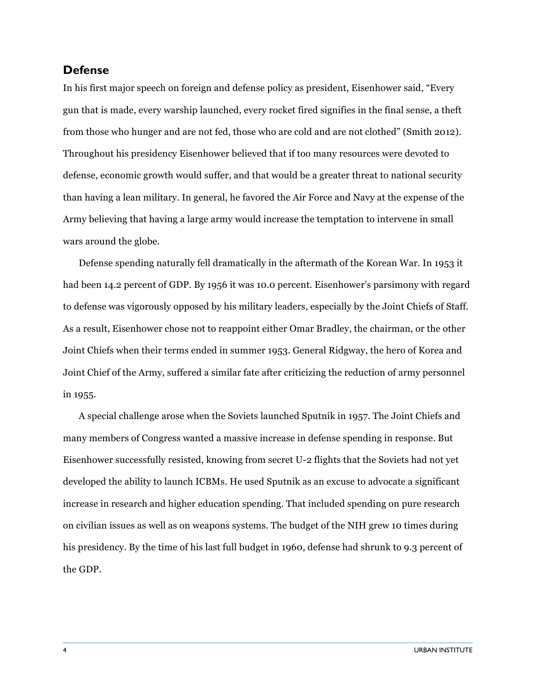#### **Defense**

In his first major speech on foreign and defense policy as president, Eisenhower said, "Every gun that is made, every warship launched, every rocket fired signifies in the final sense, a theft from those who hunger and are not fed, those who are cold and are not clothed" (Smith 2012). Throughout his presidency Eisenhower believed that if too many resources were devoted to defense, economic growth would suffer, and that would be a greater threat to national security than having a lean military. In general, he favored the Air Force and Navy at the expense of the Army believing that having a large army would increase the temptation to intervene in small wars around the globe.

Defense spending naturally fell dramatically in the aftermath of the Korean War. In 1953 it had been 14.2 percent of GDP. By 1956 it was 10.0 percent. Eisenhower's parsimony with regard to defense was vigorously opposed by his military leaders, especially by the Joint Chiefs of Staff. As a result, Eisenhower chose not to reappoint either Omar Bradley, the chairman, or the other Joint Chiefs when their terms ended in summer 1953. General Ridgway, the hero of Korea and Joint Chief of the Army, suffered a similar fate after criticizing the reduction of army personnel in 1955.

A special challenge arose when the Soviets launched Sputnik in 1957. The Joint Chiefs and many members of Congress wanted a massive increase in defense spending in response. But Eisenhower successfully resisted, knowing from secret U-2 flights that the Soviets had not yet developed the ability to launch ICBMs. He used Sputnik as an excuse to advocate a significant increase in research and higher education spending. That included spending on pure research on civilian issues as well as on weapons systems. The budget of the NIH grew 10 times during his presidency. By the time of his last full budget in 1960, defense had shrunk to 9.3 percent of the GDP.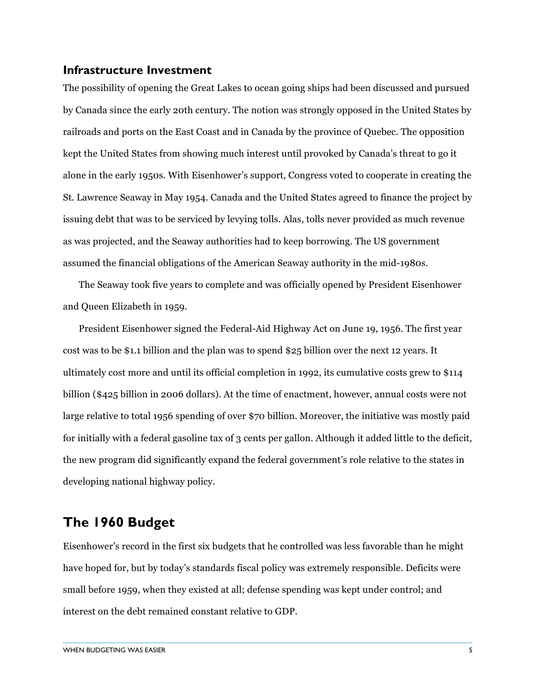#### **Infrastructure Investment**

The possibility of opening the Great Lakes to ocean going ships had been discussed and pursued by Canada since the early 20th century. The notion was strongly opposed in the United States by railroads and ports on the East Coast and in Canada by the province of Quebec. The opposition kept the United States from showing much interest until provoked by Canada's threat to go it alone in the early 1950s. With Eisenhower's support, Congress voted to cooperate in creating the St. Lawrence Seaway in May 1954. Canada and the United States agreed to finance the project by issuing debt that was to be serviced by levying tolls. Alas, tolls never provided as much revenue as was projected, and the Seaway authorities had to keep borrowing. The US government assumed the financial obligations of the American Seaway authority in the mid-1980s.

The Seaway took five years to complete and was officially opened by President Eisenhower and Queen Elizabeth in 1959.

President Eisenhower signed the Federal-Aid Highway Act on June 19, 1956. The first year cost was to be \$1.1 billion and the plan was to spend \$25 billion over the next 12 years. It ultimately cost more and until its official completion in 1992, its cumulative costs grew to \$114 billion (\$425 billion in 2006 dollars). At the time of enactment, however, annual costs were not large relative to total 1956 spending of over \$70 billion. Moreover, the initiative was mostly paid for initially with a federal gasoline tax of 3 cents per gallon. Although it added little to the deficit, the new program did significantly expand the federal government's role relative to the states in developing national highway policy.

### **The 1960 Budget**

Eisenhower's record in the first six budgets that he controlled was less favorable than he might have hoped for, but by today's standards fiscal policy was extremely responsible. Deficits were small before 1959, when they existed at all; defense spending was kept under control; and interest on the debt remained constant relative to GDP.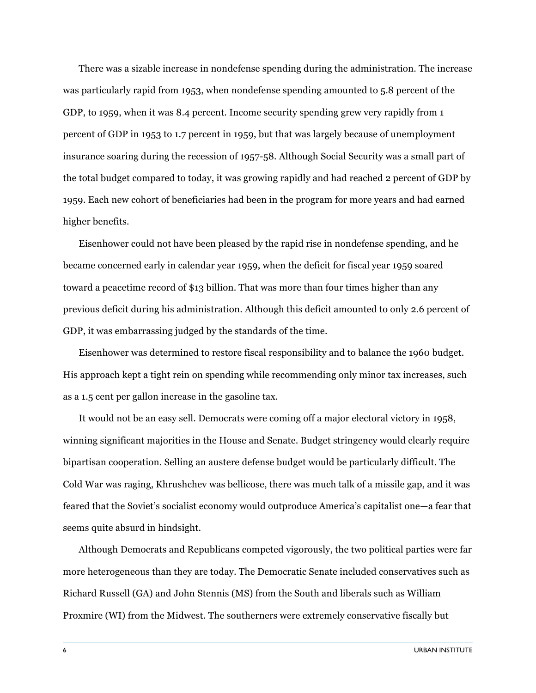There was a sizable increase in nondefense spending during the administration. The increase was particularly rapid from 1953, when nondefense spending amounted to 5.8 percent of the GDP, to 1959, when it was 8.4 percent. Income security spending grew very rapidly from 1 percent of GDP in 1953 to 1.7 percent in 1959, but that was largely because of unemployment insurance soaring during the recession of 1957-58. Although Social Security was a small part of the total budget compared to today, it was growing rapidly and had reached 2 percent of GDP by 1959. Each new cohort of beneficiaries had been in the program for more years and had earned higher benefits.

Eisenhower could not have been pleased by the rapid rise in nondefense spending, and he became concerned early in calendar year 1959, when the deficit for fiscal year 1959 soared toward a peacetime record of \$13 billion. That was more than four times higher than any previous deficit during his administration. Although this deficit amounted to only 2.6 percent of GDP, it was embarrassing judged by the standards of the time.

Eisenhower was determined to restore fiscal responsibility and to balance the 1960 budget. His approach kept a tight rein on spending while recommending only minor tax increases, such as a 1.5 cent per gallon increase in the gasoline tax.

It would not be an easy sell. Democrats were coming off a major electoral victory in 1958, winning significant majorities in the House and Senate. Budget stringency would clearly require bipartisan cooperation. Selling an austere defense budget would be particularly difficult. The Cold War was raging, Khrushchev was bellicose, there was much talk of a missile gap, and it was feared that the Soviet's socialist economy would outproduce America's capitalist one—a fear that seems quite absurd in hindsight.

Although Democrats and Republicans competed vigorously, the two political parties were far more heterogeneous than they are today. The Democratic Senate included conservatives such as Richard Russell (GA) and John Stennis (MS) from the South and liberals such as William Proxmire (WI) from the Midwest. The southerners were extremely conservative fiscally but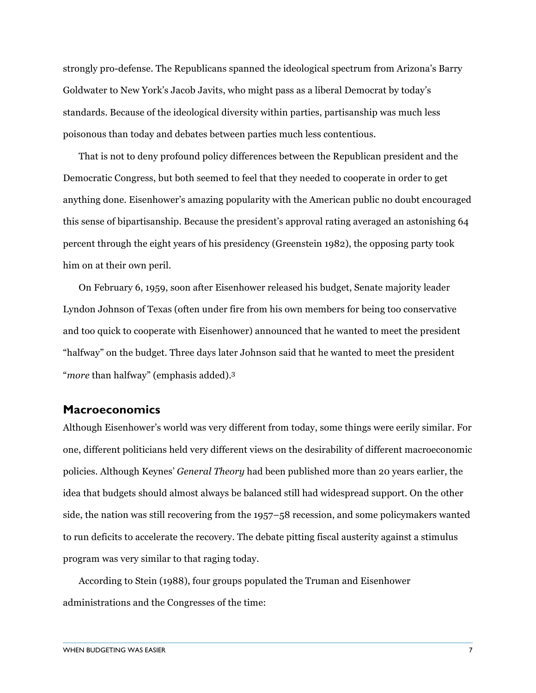strongly pro-defense. The Republicans spanned the ideological spectrum from Arizona's Barry Goldwater to New York's Jacob Javits, who might pass as a liberal Democrat by today's standards. Because of the ideological diversity within parties, partisanship was much less poisonous than today and debates between parties much less contentious.

That is not to deny profound policy differences between the Republican president and the Democratic Congress, but both seemed to feel that they needed to cooperate in order to get anything done. Eisenhower's amazing popularity with the American public no doubt encouraged this sense of bipartisanship. Because the president's approval rating averaged an astonishing 64 percent through the eight years of his presidency (Greenstein 1982), the opposing party took him on at their own peril.

On February 6, 1959, soon after Eisenhower released his budget, Senate majority leader Lyndon Johnson of Texas (often under fire from his own members for being too conservative and too quick to cooperate with Eisenhower) announced that he wanted to meet the president "halfway" on the budget. Three days later Johnson said that he wanted to meet the president "*more* than halfway" (emphasis added).3

#### **Macroeconomics**

Although Eisenhower's world was very different from today, some things were eerily similar. For one, different politicians held very different views on the desirability of different macroeconomic policies. Although Keynes' *General Theory* had been published more than 20 years earlier, the idea that budgets should almost always be balanced still had widespread support. On the other side, the nation was still recovering from the 1957–58 recession, and some policymakers wanted to run deficits to accelerate the recovery. The debate pitting fiscal austerity against a stimulus program was very similar to that raging today.

According to Stein (1988), four groups populated the Truman and Eisenhower administrations and the Congresses of the time: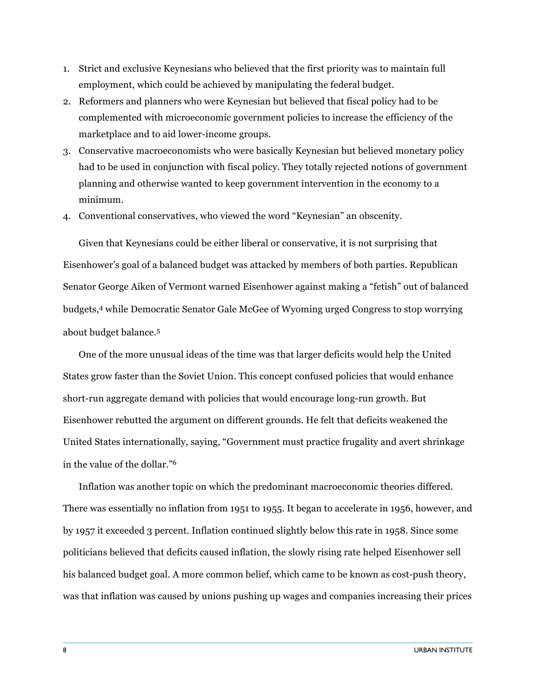- 1. Strict and exclusive Keynesians who believed that the first priority was to maintain full employment, which could be achieved by manipulating the federal budget.
- 2. Reformers and planners who were Keynesian but believed that fiscal policy had to be complemented with microeconomic government policies to increase the efficiency of the marketplace and to aid lower-income groups.
- 3. Conservative macroeconomists who were basically Keynesian but believed monetary policy had to be used in conjunction with fiscal policy. They totally rejected notions of government planning and otherwise wanted to keep government intervention in the economy to a minimum.
- 4. Conventional conservatives, who viewed the word "Keynesian" an obscenity.

Given that Keynesians could be either liberal or conservative, it is not surprising that Eisenhower's goal of a balanced budget was attacked by members of both parties. Republican Senator George Aiken of Vermont warned Eisenhower against making a "fetish" out of balanced budgets,4 while Democratic Senator Gale McGee of Wyoming urged Congress to stop worrying about budget balance.5

One of the more unusual ideas of the time was that larger deficits would help the United States grow faster than the Soviet Union. This concept confused policies that would enhance short-run aggregate demand with policies that would encourage long-run growth. But Eisenhower rebutted the argument on different grounds. He felt that deficits weakened the United States internationally, saying, "Government must practice frugality and avert shrinkage in the value of the dollar."6

Inflation was another topic on which the predominant macroeconomic theories differed. There was essentially no inflation from 1951 to 1955. It began to accelerate in 1956, however, and by 1957 it exceeded 3 percent. Inflation continued slightly below this rate in 1958. Since some politicians believed that deficits caused inflation, the slowly rising rate helped Eisenhower sell his balanced budget goal. A more common belief, which came to be known as cost-push theory, was that inflation was caused by unions pushing up wages and companies increasing their prices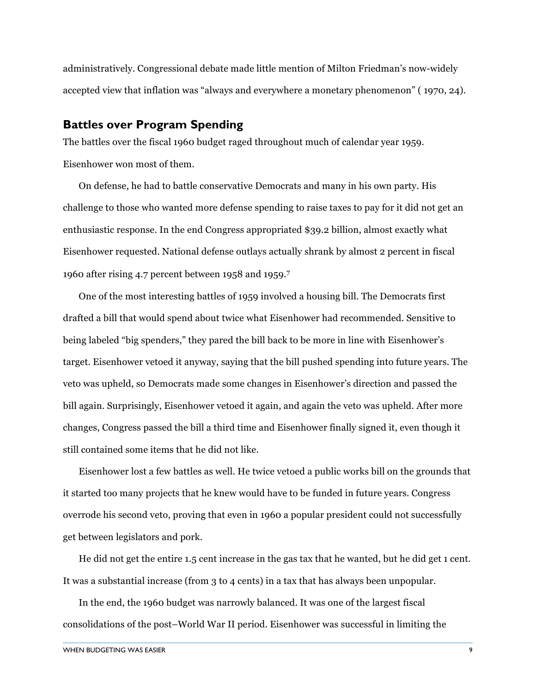administratively. Congressional debate made little mention of Milton Friedman's now-widely accepted view that inflation was "always and everywhere a monetary phenomenon" ( 1970, 24).

#### **Battles over Program Spending**

The battles over the fiscal 1960 budget raged throughout much of calendar year 1959. Eisenhower won most of them.

On defense, he had to battle conservative Democrats and many in his own party. His challenge to those who wanted more defense spending to raise taxes to pay for it did not get an enthusiastic response. In the end Congress appropriated \$39.2 billion, almost exactly what Eisenhower requested. National defense outlays actually shrank by almost 2 percent in fiscal 1960 after rising 4.7 percent between 1958 and 1959.7

One of the most interesting battles of 1959 involved a housing bill. The Democrats first drafted a bill that would spend about twice what Eisenhower had recommended. Sensitive to being labeled "big spenders," they pared the bill back to be more in line with Eisenhower's target. Eisenhower vetoed it anyway, saying that the bill pushed spending into future years. The veto was upheld, so Democrats made some changes in Eisenhower's direction and passed the bill again. Surprisingly, Eisenhower vetoed it again, and again the veto was upheld. After more changes, Congress passed the bill a third time and Eisenhower finally signed it, even though it still contained some items that he did not like.

Eisenhower lost a few battles as well. He twice vetoed a public works bill on the grounds that it started too many projects that he knew would have to be funded in future years. Congress overrode his second veto, proving that even in 1960 a popular president could not successfully get between legislators and pork.

He did not get the entire 1.5 cent increase in the gas tax that he wanted, but he did get 1 cent. It was a substantial increase (from 3 to 4 cents) in a tax that has always been unpopular.

In the end, the 1960 budget was narrowly balanced. It was one of the largest fiscal consolidations of the post–World War II period. Eisenhower was successful in limiting the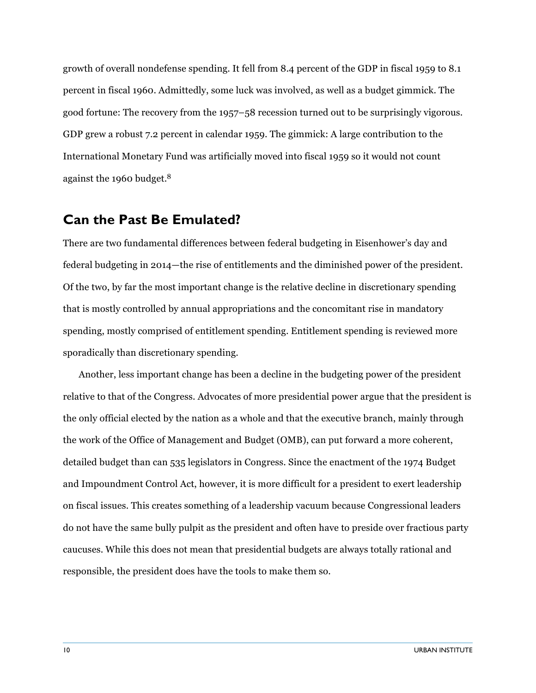growth of overall nondefense spending. It fell from 8.4 percent of the GDP in fiscal 1959 to 8.1 percent in fiscal 1960. Admittedly, some luck was involved, as well as a budget gimmick. The good fortune: The recovery from the 1957–58 recession turned out to be surprisingly vigorous. GDP grew a robust 7.2 percent in calendar 1959. The gimmick: A large contribution to the International Monetary Fund was artificially moved into fiscal 1959 so it would not count against the 1960 budget.8

## **Can the Past Be Emulated?**

There are two fundamental differences between federal budgeting in Eisenhower's day and federal budgeting in 2014—the rise of entitlements and the diminished power of the president. Of the two, by far the most important change is the relative decline in discretionary spending that is mostly controlled by annual appropriations and the concomitant rise in mandatory spending, mostly comprised of entitlement spending. Entitlement spending is reviewed more sporadically than discretionary spending.

Another, less important change has been a decline in the budgeting power of the president relative to that of the Congress. Advocates of more presidential power argue that the president is the only official elected by the nation as a whole and that the executive branch, mainly through the work of the Office of Management and Budget (OMB), can put forward a more coherent, detailed budget than can 535 legislators in Congress. Since the enactment of the 1974 Budget and Impoundment Control Act, however, it is more difficult for a president to exert leadership on fiscal issues. This creates something of a leadership vacuum because Congressional leaders do not have the same bully pulpit as the president and often have to preside over fractious party caucuses. While this does not mean that presidential budgets are always totally rational and responsible, the president does have the tools to make them so.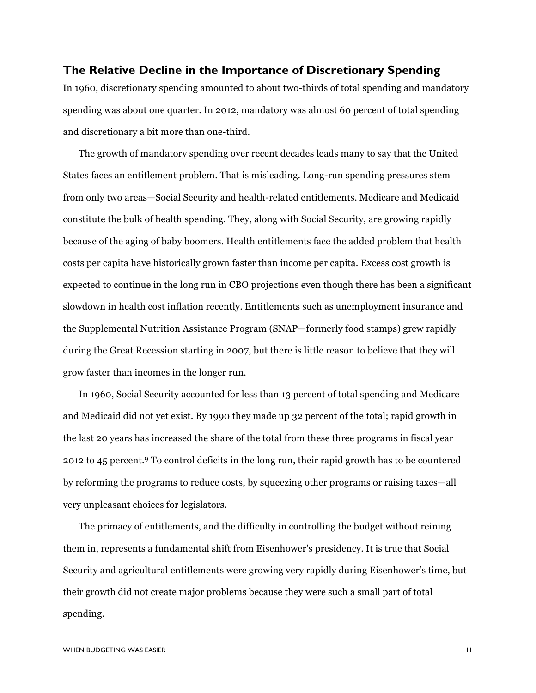## **The Relative Decline in the Importance of Discretionary Spending** In 1960, discretionary spending amounted to about two-thirds of total spending and mandatory spending was about one quarter. In 2012, mandatory was almost 60 percent of total spending and discretionary a bit more than one-third.

The growth of mandatory spending over recent decades leads many to say that the United States faces an entitlement problem. That is misleading. Long-run spending pressures stem from only two areas—Social Security and health-related entitlements. Medicare and Medicaid constitute the bulk of health spending. They, along with Social Security, are growing rapidly because of the aging of baby boomers. Health entitlements face the added problem that health costs per capita have historically grown faster than income per capita. Excess cost growth is expected to continue in the long run in CBO projections even though there has been a significant slowdown in health cost inflation recently. Entitlements such as unemployment insurance and the Supplemental Nutrition Assistance Program (SNAP—formerly food stamps) grew rapidly during the Great Recession starting in 2007, but there is little reason to believe that they will grow faster than incomes in the longer run.

In 1960, Social Security accounted for less than 13 percent of total spending and Medicare and Medicaid did not yet exist. By 1990 they made up 32 percent of the total; rapid growth in the last 20 years has increased the share of the total from these three programs in fiscal year 2012 to 45 percent.9 To control deficits in the long run, their rapid growth has to be countered by reforming the programs to reduce costs, by squeezing other programs or raising taxes—all very unpleasant choices for legislators.

The primacy of entitlements, and the difficulty in controlling the budget without reining them in, represents a fundamental shift from Eisenhower's presidency. It is true that Social Security and agricultural entitlements were growing very rapidly during Eisenhower's time, but their growth did not create major problems because they were such a small part of total spending.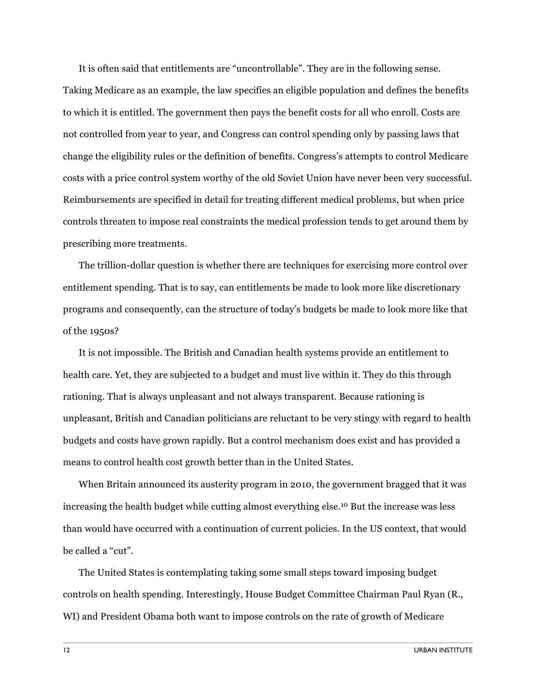It is often said that entitlements are "uncontrollable". They are in the following sense. Taking Medicare as an example, the law specifies an eligible population and defines the benefits to which it is entitled. The government then pays the benefit costs for all who enroll. Costs are not controlled from year to year, and Congress can control spending only by passing laws that change the eligibility rules or the definition of benefits. Congress's attempts to control Medicare costs with a price control system worthy of the old Soviet Union have never been very successful. Reimbursements are specified in detail for treating different medical problems, but when price controls threaten to impose real constraints the medical profession tends to get around them by prescribing more treatments.

The trillion-dollar question is whether there are techniques for exercising more control over entitlement spending. That is to say, can entitlements be made to look more like discretionary programs and consequently, can the structure of today's budgets be made to look more like that of the 1950s?

It is not impossible. The British and Canadian health systems provide an entitlement to health care. Yet, they are subjected to a budget and must live within it. They do this through rationing. That is always unpleasant and not always transparent. Because rationing is unpleasant, British and Canadian politicians are reluctant to be very stingy with regard to health budgets and costs have grown rapidly. But a control mechanism does exist and has provided a means to control health cost growth better than in the United States.

When Britain announced its austerity program in 2010, the government bragged that it was increasing the health budget while cutting almost everything else.<sup>10</sup> But the increase was less than would have occurred with a continuation of current policies. In the US context, that would be called a "cut".

The United States is contemplating taking some small steps toward imposing budget controls on health spending. Interestingly, House Budget Committee Chairman Paul Ryan (R., WI) and President Obama both want to impose controls on the rate of growth of Medicare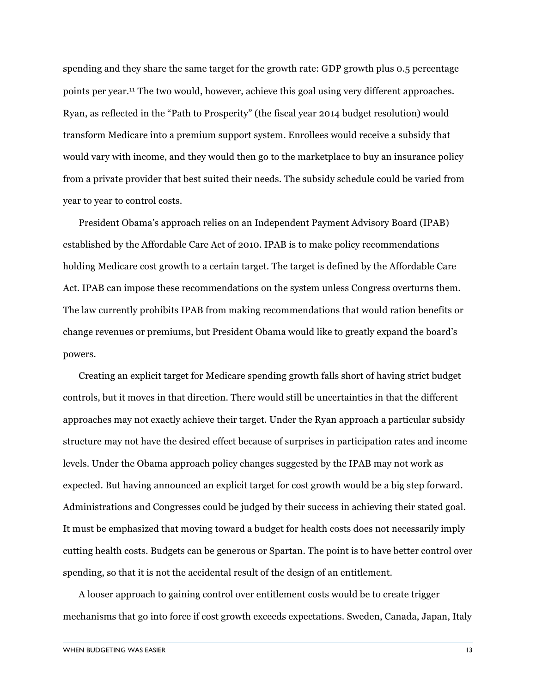spending and they share the same target for the growth rate: GDP growth plus 0.5 percentage points per year.11 The two would, however, achieve this goal using very different approaches. Ryan, as reflected in the "Path to Prosperity" (the fiscal year 2014 budget resolution) would transform Medicare into a premium support system. Enrollees would receive a subsidy that would vary with income, and they would then go to the marketplace to buy an insurance policy from a private provider that best suited their needs. The subsidy schedule could be varied from year to year to control costs.

President Obama's approach relies on an Independent Payment Advisory Board (IPAB) established by the Affordable Care Act of 2010. IPAB is to make policy recommendations holding Medicare cost growth to a certain target. The target is defined by the Affordable Care Act. IPAB can impose these recommendations on the system unless Congress overturns them. The law currently prohibits IPAB from making recommendations that would ration benefits or change revenues or premiums, but President Obama would like to greatly expand the board's powers.

Creating an explicit target for Medicare spending growth falls short of having strict budget controls, but it moves in that direction. There would still be uncertainties in that the different approaches may not exactly achieve their target. Under the Ryan approach a particular subsidy structure may not have the desired effect because of surprises in participation rates and income levels. Under the Obama approach policy changes suggested by the IPAB may not work as expected. But having announced an explicit target for cost growth would be a big step forward. Administrations and Congresses could be judged by their success in achieving their stated goal. It must be emphasized that moving toward a budget for health costs does not necessarily imply cutting health costs. Budgets can be generous or Spartan. The point is to have better control over spending, so that it is not the accidental result of the design of an entitlement.

A looser approach to gaining control over entitlement costs would be to create trigger mechanisms that go into force if cost growth exceeds expectations. Sweden, Canada, Japan, Italy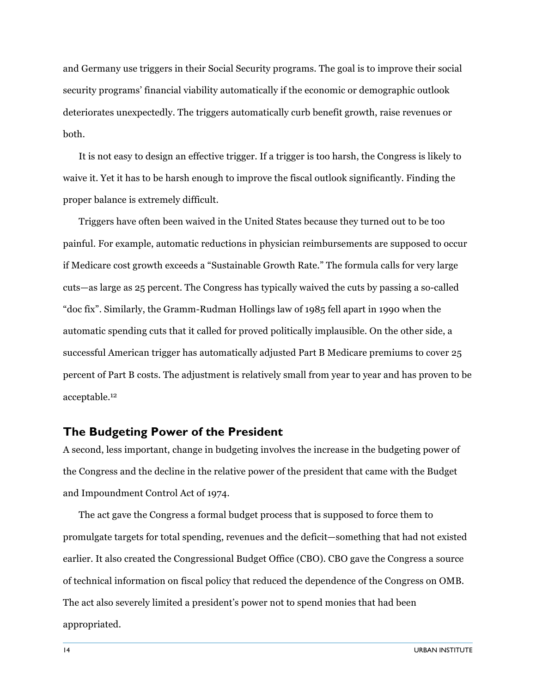and Germany use triggers in their Social Security programs. The goal is to improve their social security programs' financial viability automatically if the economic or demographic outlook deteriorates unexpectedly. The triggers automatically curb benefit growth, raise revenues or both.

It is not easy to design an effective trigger. If a trigger is too harsh, the Congress is likely to waive it. Yet it has to be harsh enough to improve the fiscal outlook significantly. Finding the proper balance is extremely difficult.

Triggers have often been waived in the United States because they turned out to be too painful. For example, automatic reductions in physician reimbursements are supposed to occur if Medicare cost growth exceeds a "Sustainable Growth Rate." The formula calls for very large cuts—as large as 25 percent. The Congress has typically waived the cuts by passing a so-called "doc fix". Similarly, the Gramm-Rudman Hollings law of 1985 fell apart in 1990 when the automatic spending cuts that it called for proved politically implausible. On the other side, a successful American trigger has automatically adjusted Part B Medicare premiums to cover 25 percent of Part B costs. The adjustment is relatively small from year to year and has proven to be acceptable.12

### **The Budgeting Power of the President**

A second, less important, change in budgeting involves the increase in the budgeting power of the Congress and the decline in the relative power of the president that came with the Budget and Impoundment Control Act of 1974.

The act gave the Congress a formal budget process that is supposed to force them to promulgate targets for total spending, revenues and the deficit—something that had not existed earlier. It also created the Congressional Budget Office (CBO). CBO gave the Congress a source of technical information on fiscal policy that reduced the dependence of the Congress on OMB. The act also severely limited a president's power not to spend monies that had been appropriated.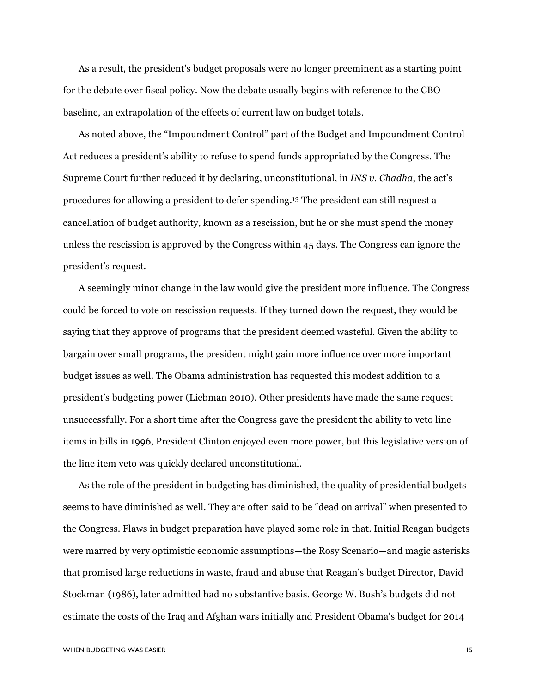As a result, the president's budget proposals were no longer preeminent as a starting point for the debate over fiscal policy. Now the debate usually begins with reference to the CBO baseline, an extrapolation of the effects of current law on budget totals.

As noted above, the "Impoundment Control" part of the Budget and Impoundment Control Act reduces a president's ability to refuse to spend funds appropriated by the Congress. The Supreme Court further reduced it by declaring, unconstitutional, in *INS v. Chadha*, the act's procedures for allowing a president to defer spending.13 The president can still request a cancellation of budget authority, known as a rescission, but he or she must spend the money unless the rescission is approved by the Congress within 45 days. The Congress can ignore the president's request.

A seemingly minor change in the law would give the president more influence. The Congress could be forced to vote on rescission requests. If they turned down the request, they would be saying that they approve of programs that the president deemed wasteful. Given the ability to bargain over small programs, the president might gain more influence over more important budget issues as well. The Obama administration has requested this modest addition to a president's budgeting power (Liebman 2010). Other presidents have made the same request unsuccessfully. For a short time after the Congress gave the president the ability to veto line items in bills in 1996, President Clinton enjoyed even more power, but this legislative version of the line item veto was quickly declared unconstitutional.

As the role of the president in budgeting has diminished, the quality of presidential budgets seems to have diminished as well. They are often said to be "dead on arrival" when presented to the Congress. Flaws in budget preparation have played some role in that. Initial Reagan budgets were marred by very optimistic economic assumptions—the Rosy Scenario—and magic asterisks that promised large reductions in waste, fraud and abuse that Reagan's budget Director, David Stockman (1986), later admitted had no substantive basis. George W. Bush's budgets did not estimate the costs of the Iraq and Afghan wars initially and President Obama's budget for 2014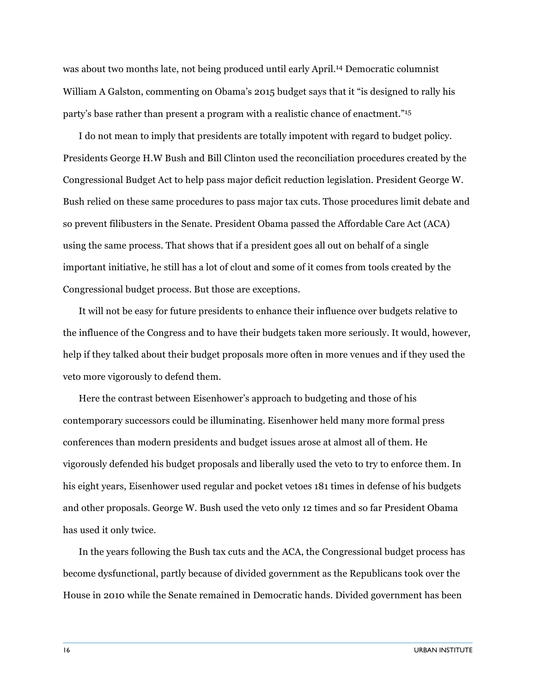was about two months late, not being produced until early April.14 Democratic columnist William A Galston, commenting on Obama's 2015 budget says that it "is designed to rally his party's base rather than present a program with a realistic chance of enactment."15

I do not mean to imply that presidents are totally impotent with regard to budget policy. Presidents George H.W Bush and Bill Clinton used the reconciliation procedures created by the Congressional Budget Act to help pass major deficit reduction legislation. President George W. Bush relied on these same procedures to pass major tax cuts. Those procedures limit debate and so prevent filibusters in the Senate. President Obama passed the Affordable Care Act (ACA) using the same process. That shows that if a president goes all out on behalf of a single important initiative, he still has a lot of clout and some of it comes from tools created by the Congressional budget process. But those are exceptions.

It will not be easy for future presidents to enhance their influence over budgets relative to the influence of the Congress and to have their budgets taken more seriously. It would, however, help if they talked about their budget proposals more often in more venues and if they used the veto more vigorously to defend them.

Here the contrast between Eisenhower's approach to budgeting and those of his contemporary successors could be illuminating. Eisenhower held many more formal press conferences than modern presidents and budget issues arose at almost all of them. He vigorously defended his budget proposals and liberally used the veto to try to enforce them. In his eight years, Eisenhower used regular and pocket vetoes 181 times in defense of his budgets and other proposals. George W. Bush used the veto only 12 times and so far President Obama has used it only twice.

In the years following the Bush tax cuts and the ACA, the Congressional budget process has become dysfunctional, partly because of divided government as the Republicans took over the House in 2010 while the Senate remained in Democratic hands. Divided government has been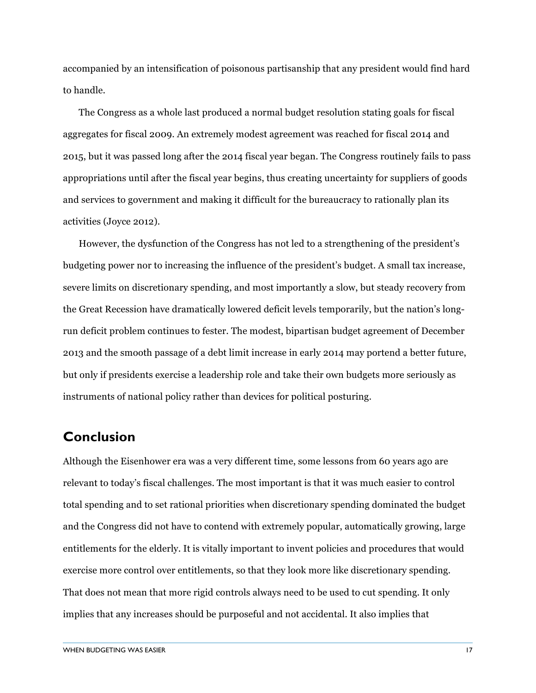accompanied by an intensification of poisonous partisanship that any president would find hard to handle.

The Congress as a whole last produced a normal budget resolution stating goals for fiscal aggregates for fiscal 2009. An extremely modest agreement was reached for fiscal 2014 and 2015, but it was passed long after the 2014 fiscal year began. The Congress routinely fails to pass appropriations until after the fiscal year begins, thus creating uncertainty for suppliers of goods and services to government and making it difficult for the bureaucracy to rationally plan its activities (Joyce 2012).

However, the dysfunction of the Congress has not led to a strengthening of the president's budgeting power nor to increasing the influence of the president's budget. A small tax increase, severe limits on discretionary spending, and most importantly a slow, but steady recovery from the Great Recession have dramatically lowered deficit levels temporarily, but the nation's longrun deficit problem continues to fester. The modest, bipartisan budget agreement of December 2013 and the smooth passage of a debt limit increase in early 2014 may portend a better future, but only if presidents exercise a leadership role and take their own budgets more seriously as instruments of national policy rather than devices for political posturing.

## **Conclusion**

Although the Eisenhower era was a very different time, some lessons from 60 years ago are relevant to today's fiscal challenges. The most important is that it was much easier to control total spending and to set rational priorities when discretionary spending dominated the budget and the Congress did not have to contend with extremely popular, automatically growing, large entitlements for the elderly. It is vitally important to invent policies and procedures that would exercise more control over entitlements, so that they look more like discretionary spending. That does not mean that more rigid controls always need to be used to cut spending. It only implies that any increases should be purposeful and not accidental. It also implies that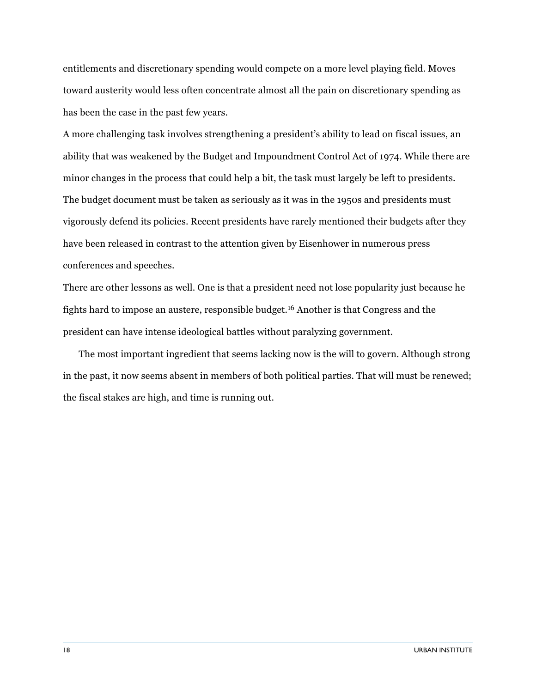entitlements and discretionary spending would compete on a more level playing field. Moves toward austerity would less often concentrate almost all the pain on discretionary spending as has been the case in the past few years.

A more challenging task involves strengthening a president's ability to lead on fiscal issues, an ability that was weakened by the Budget and Impoundment Control Act of 1974. While there are minor changes in the process that could help a bit, the task must largely be left to presidents. The budget document must be taken as seriously as it was in the 1950s and presidents must vigorously defend its policies. Recent presidents have rarely mentioned their budgets after they have been released in contrast to the attention given by Eisenhower in numerous press conferences and speeches.

There are other lessons as well. One is that a president need not lose popularity just because he fights hard to impose an austere, responsible budget.16 Another is that Congress and the president can have intense ideological battles without paralyzing government.

The most important ingredient that seems lacking now is the will to govern. Although strong in the past, it now seems absent in members of both political parties. That will must be renewed; the fiscal stakes are high, and time is running out.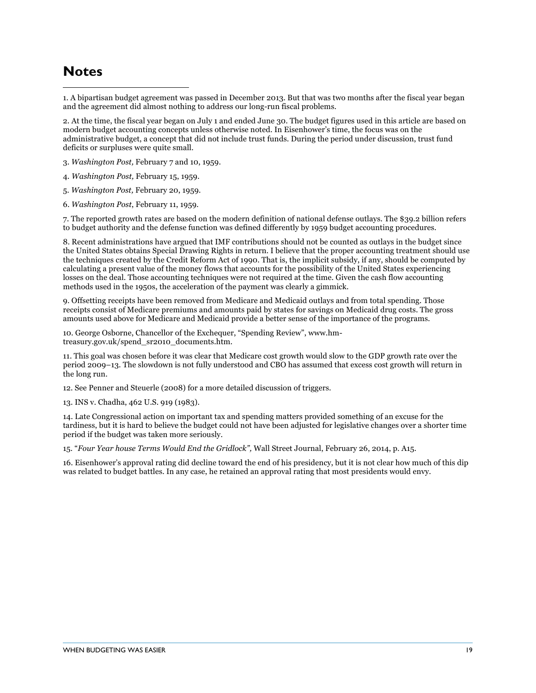## **Notes**

1. A bipartisan budget agreement was passed in December 2013. But that was two months after the fiscal year began and the agreement did almost nothing to address our long-run fiscal problems.

2. At the time, the fiscal year began on July 1 and ended June 30. The budget figures used in this article are based on modern budget accounting concepts unless otherwise noted. In Eisenhower's time, the focus was on the administrative budget, a concept that did not include trust funds. During the period under discussion, trust fund deficits or surpluses were quite small.

3. *Washington Post,* February 7 and 10, 1959.

4. *Washington Post,* February 15, 1959.

5. *Washington Post,* February 20, 1959.

6. *Washington Post*, February 11, 1959.

7. The reported growth rates are based on the modern definition of national defense outlays. The \$39.2 billion refers to budget authority and the defense function was defined differently by 1959 budget accounting procedures.

8. Recent administrations have argued that IMF contributions should not be counted as outlays in the budget since the United States obtains Special Drawing Rights in return. I believe that the proper accounting treatment should use the techniques created by the Credit Reform Act of 1990. That is, the implicit subsidy, if any, should be computed by calculating a present value of the money flows that accounts for the possibility of the United States experiencing losses on the deal. Those accounting techniques were not required at the time. Given the cash flow accounting methods used in the 1950s, the acceleration of the payment was clearly a gimmick.

9. Offsetting receipts have been removed from Medicare and Medicaid outlays and from total spending. Those receipts consist of Medicare premiums and amounts paid by states for savings on Medicaid drug costs. The gross amounts used above for Medicare and Medicaid provide a better sense of the importance of the programs.

10. George Osborne, Chancellor of the Exchequer, "Spending Review", www.hmtreasury.gov.uk/spend\_sr2010\_documents.htm.

11. This goal was chosen before it was clear that Medicare cost growth would slow to the GDP growth rate over the period 2009–13. The slowdown is not fully understood and CBO has assumed that excess cost growth will return in the long run.

12. See Penner and Steuerle (2008) for a more detailed discussion of triggers.

13. INS v. Chadha, 462 U.S. 919 (1983).

14. Late Congressional action on important tax and spending matters provided something of an excuse for the tardiness, but it is hard to believe the budget could not have been adjusted for legislative changes over a shorter time period if the budget was taken more seriously.

15. "*Four Year house Terms Would End the Gridlock",* Wall Street Journal, February 26, 2014, p. A15.

16. Eisenhower's approval rating did decline toward the end of his presidency, but it is not clear how much of this dip was related to budget battles. In any case, he retained an approval rating that most presidents would envy.